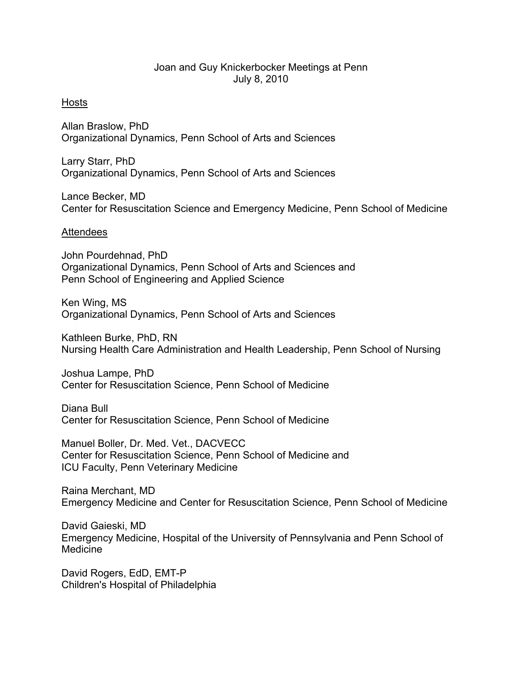## Joan and Guy Knickerbocker Meetings at Penn July 8, 2010

## Hosts

Allan Braslow, PhD Organizational Dynamics, Penn School of Arts and Sciences

Larry Starr, PhD Organizational Dynamics, Penn School of Arts and Sciences

Lance Becker, MD Center for Resuscitation Science and Emergency Medicine, Penn School of Medicine

## Attendees

John Pourdehnad, PhD Organizational Dynamics, Penn School of Arts and Sciences and Penn School of Engineering and Applied Science

Ken Wing, MS Organizational Dynamics, Penn School of Arts and Sciences

Kathleen Burke, PhD, RN Nursing Health Care Administration and Health Leadership, Penn School of Nursing

Joshua Lampe, PhD Center for Resuscitation Science, Penn School of Medicine

Diana Bull Center for Resuscitation Science, Penn School of Medicine

Manuel Boller, Dr. Med. Vet., DACVECC Center for Resuscitation Science, Penn School of Medicine and ICU Faculty, Penn Veterinary Medicine

Raina Merchant, MD Emergency Medicine and Center for Resuscitation Science, Penn School of Medicine

David Gaieski, MD Emergency Medicine, Hospital of the University of Pennsylvania and Penn School of Medicine

David Rogers, EdD, EMT-P Children's Hospital of Philadelphia